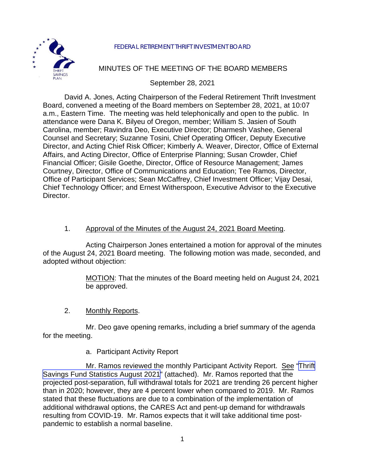

#### FEDERAL RETIREMENT THRIFT INVESTMENT BOARD

# MINUTES OF THE MEETING OF THE BOARD MEMBERS

September 28, 2021

David A. Jones, Acting Chairperson of the Federal Retirement Thrift Investment Board, convened a meeting of the Board members on September 28, 2021, at 10:07 a.m., Eastern Time. The meeting was held telephonically and open to the public. In attendance were Dana K. Bilyeu of Oregon, member; William S. Jasien of South Carolina, member; Ravindra Deo, Executive Director; Dharmesh Vashee, General Counsel and Secretary; Suzanne Tosini, Chief Operating Officer, Deputy Executive Director, and Acting Chief Risk Officer; Kimberly A. Weaver, Director, Office of External Affairs, and Acting Director, Office of Enterprise Planning; Susan Crowder, Chief Financial Officer; Gisile Goethe, Director, Office of Resource Management; James Courtney, Director, Office of Communications and Education; Tee Ramos, Director, Office of Participant Services; Sean McCaffrey, Chief Investment Officer; Vijay Desai, Chief Technology Officer; and Ernest Witherspoon, Executive Advisor to the Executive Director.

# 1. Approval of the Minutes of the August 24, 2021 Board Meeting.

Acting Chairperson Jones entertained a motion for approval of the minutes of the August 24, 2021 Board meeting. The following motion was made, seconded, and adopted without objection:

> MOTION: That the minutes of the Board meeting held on August 24, 2021 be approved.

2. Monthly Reports.

Mr. Deo gave opening remarks, including a brief summary of the agenda for the meeting.

### a. Participant Activity Report

Mr. Ramos reviewed the monthly Participant Activity Report. See ["Thrift](https://www.frtib.gov/pdf/minutes/2021/September/MM-2021Sept-Att1.pdf) [Savings Fund Statistics August 2021"](https://www.frtib.gov/pdf/minutes/2021/September/MM-2021Sept-Att1.pdf) (attached). Mr. Ramos reported that the projected post-separation, full withdrawal totals for 2021 are trending 26 percent higher than in 2020; however, they are 4 percent lower when compared to 2019. Mr. Ramos stated that these fluctuations are due to a combination of the implementation of additional withdrawal options, the CARES Act and pent-up demand for withdrawals resulting from COVID-19. Mr. Ramos expects that it will take additional time postpandemic to establish a normal baseline.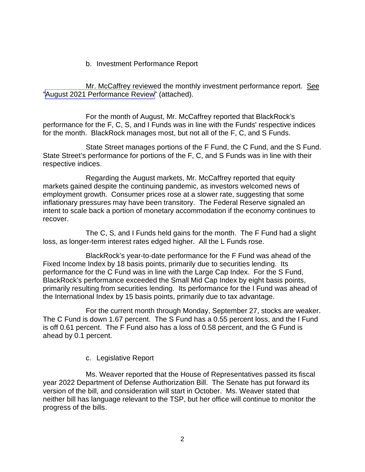#### b. Investment Performance Report

Mr. McCaffrey reviewed the monthly investment performance report. See "August [2021 Performance Review"](https://www.frtib.gov/pdf/minutes/2021/September/MM-2021Sept-Att2.pdf) (attached).

For the month of August, Mr. McCaffrey reported that BlackRock's performance for the F, C, S, and I Funds was in line with the Funds' respective indices for the month. BlackRock manages most, but not all of the F, C, and S Funds.

State Street manages portions of the F Fund, the C Fund, and the S Fund. State Street's performance for portions of the F, C, and S Funds was in line with their respective indices.

Regarding the August markets, Mr. McCaffrey reported that equity markets gained despite the continuing pandemic, as investors welcomed news of employment growth. Consumer prices rose at a slower rate, suggesting that some inflationary pressures may have been transitory. The Federal Reserve signaled an intent to scale back a portion of monetary accommodation if the economy continues to recover.

The C, S, and I Funds held gains for the month. The F Fund had a slight loss, as longer-term interest rates edged higher. All the L Funds rose.

BlackRock's year-to-date performance for the F Fund was ahead of the Fixed Income Index by 18 basis points, primarily due to securities lending. Its performance for the C Fund was in line with the Large Cap Index. For the S Fund, BlackRock's performance exceeded the Small Mid Cap Index by eight basis points, primarily resulting from securities lending. Its performance for the I Fund was ahead of the International Index by 15 basis points, primarily due to tax advantage.

For the current month through Monday, September 27, stocks are weaker. The C Fund is down 1.67 percent. The S Fund has a 0.55 percent loss, and the I Fund is off 0.61 percent. The F Fund also has a loss of 0.58 percent, and the G Fund is ahead by 0.1 percent.

### c. Legislative Report

Ms. Weaver reported that the House of Representatives passed its fiscal year 2022 Department of Defense Authorization Bill. The Senate has put forward its version of the bill, and consideration will start in October. Ms. Weaver stated that neither bill has language relevant to the TSP, but her office will continue to monitor the progress of the bills.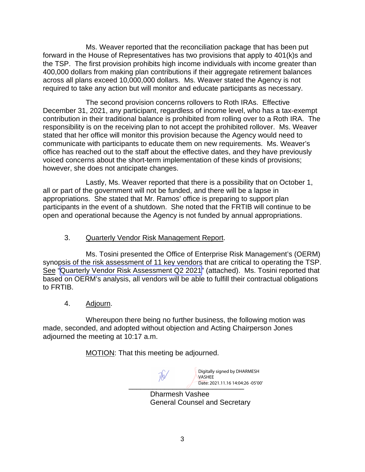Ms. Weaver reported that the reconciliation package that has been put forward in the House of Representatives has two provisions that apply to 401(k)s and the TSP. The first provision prohibits high income individuals with income greater than 400,000 dollars from making plan contributions if their aggregate retirement balances across all plans exceed 10,000,000 dollars. Ms. Weaver stated the Agency is not required to take any action but will monitor and educate participants as necessary.

The second provision concerns rollovers to Roth IRAs. Effective December 31, 2021, any participant, regardless of income level, who has a tax-exempt contribution in their traditional balance is prohibited from rolling over to a Roth IRA. The responsibility is on the receiving plan to not accept the prohibited rollover. Ms. Weaver stated that her office will monitor this provision because the Agency would need to communicate with participants to educate them on new requirements. Ms. Weaver's office has reached out to the staff about the effective dates, and they have previously voiced concerns about the short-term implementation of these kinds of provisions; however, she does not anticipate changes.

Lastly, Ms. Weaver reported that there is a possibility that on October 1, all or part of the government will not be funded, and there will be a lapse in appropriations. She stated that Mr. Ramos' office is preparing to support plan participants in the event of a shutdown. She noted that the FRTIB will continue to be open and operational because the Agency is not funded by annual appropriations.

# 3. Quarterly Vendor Risk Management Report.

Ms. Tosini presented the Office of Enterprise Risk Management's (OERM) synopsis of the risk assessment of 11 key vendors that are critical to operating the TSP. See "[Quarterly Vendor Risk Assessment](https://www.frtib.gov/pdf/minutes/2021/September/MM-2021Sept-Att3.pdf) Q2 2021" (attached). Ms. Tosini reported that based on OERM's analysis, all vendors will be able to fulfill their contractual obligations to FRTIB.

4. Adjourn.

Whereupon there being no further business, the following motion was made, seconded, and adopted without objection and Acting Chairperson Jones adjourned the meeting at 10:17 a.m.

MOTION: That this meeting be adjourned.

 $\frac{1}{\sqrt{1-\frac{1}{2021.11.1614392}}$ Digitally signed by DHARMESH VASHEE Date: 2021.11.16 14:04:26 -05'00'

Dharmesh Vashee General Counsel and Secretary